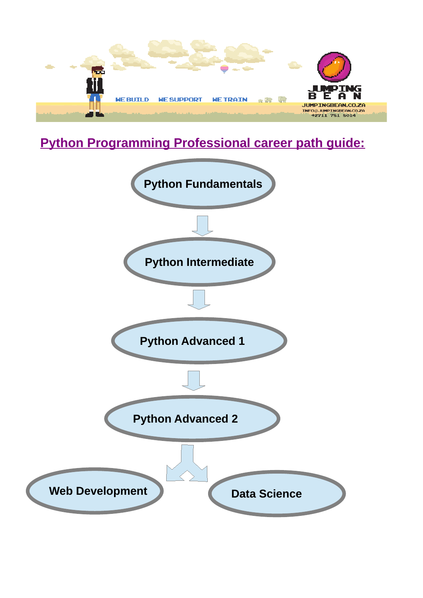

# **Python Programming Professional career path guide:**

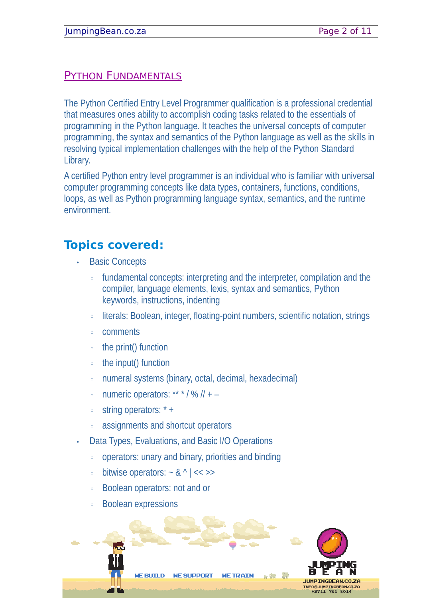### PYTHON FUNDAMENTALS

The Python Certified Entry Level Programmer qualification is a professional credential that measures ones ability to accomplish coding tasks related to the essentials of programming in the Python language. It teaches the universal concepts of computer programming, the syntax and semantics of the Python language as well as the skills in resolving typical implementation challenges with the help of the Python Standard Library.

A certified Python entry level programmer is an individual who is familiar with universal computer programming concepts like data types, containers, functions, conditions, loops, as well as Python programming language syntax, semantics, and the runtime environment.

# **Topics covered:**

- **Basic Concepts** 
	- fundamental concepts: interpreting and the interpreter, compilation and the compiler, language elements, lexis, syntax and semantics, Python keywords, instructions, indenting
	- literals: Boolean, integer, floating-point numbers, scientific notation, strings
	- comments
	- the print() function
	- the input() function
	- numeral systems (binary, octal, decimal, hexadecimal)
	- numeric operators:  $***$  / % // + –
	- string operators: \* +
	- assignments and shortcut operators
- Data Types, Evaluations, and Basic I/O Operations
	- operators: unary and binary, priorities and binding

**WE SUPPORT** 

- bitwise operators: ~ & ^ | << >>
- Boolean operators: not and or

UE RUTUD

◦ Boolean expressions



a sa Tar

**TRATN**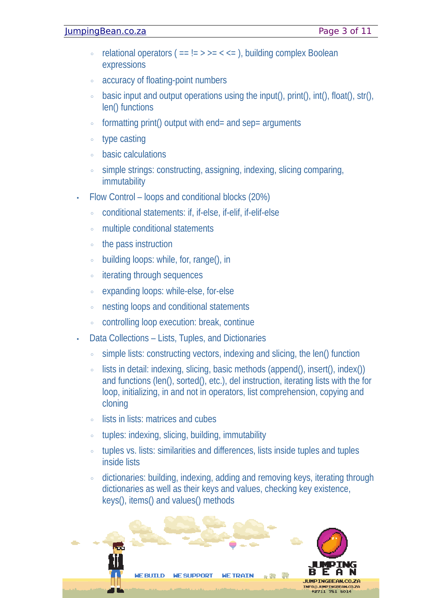#### [JumpingBean.co.za](http://Www.JumpingBean.co.za/) **Page 3 of 11**

- relational operators ( == != > >= < <= ), building complex Boolean expressions
- accuracy of floating-point numbers
- basic input and output operations using the input(), print(), int(), float(), str(), len() functions
- formatting print() output with end= and sep= arguments
- type casting
- basic calculations
- simple strings: constructing, assigning, indexing, slicing comparing, immutability
- Flow Control loops and conditional blocks (20%)
	- conditional statements: if, if-else, if-elif, if-elif-else
	- multiple conditional statements
	- the pass instruction
	- building loops: while, for, range(), in
	- iterating through sequences
	- expanding loops: while-else, for-else
	- nesting loops and conditional statements
	- controlling loop execution: break, continue
- Data Collections Lists, Tuples, and Dictionaries
	- simple lists: constructing vectors, indexing and slicing, the len() function
	- lists in detail: indexing, slicing, basic methods (append(), insert(), index()) and functions (len(), sorted(), etc.), del instruction, iterating lists with the for loop, initializing, in and not in operators, list comprehension, copying and cloning
	- lists in lists: matrices and cubes
	- tuples: indexing, slicing, building, immutability
	- tuples vs. lists: similarities and differences, lists inside tuples and tuples inside lists
	- dictionaries: building, indexing, adding and removing keys, iterating through dictionaries as well as their keys and values, checking key existence, keys(), items() and values() methods



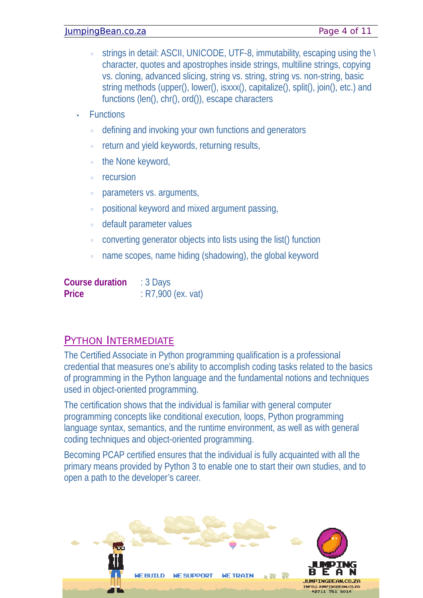### [JumpingBean.co.za](http://Www.JumpingBean.co.za/) **Page 4 of 11**

- strings in detail: ASCII, UNICODE, UTF-8, immutability, escaping using the \ character, quotes and apostrophes inside strings, multiline strings, copying vs. cloning, advanced slicing, string vs. string, string vs. non-string, basic string methods (upper(), lower(), isxxx(), capitalize(), split(), join(), etc.) and functions (len(), chr(), ord()), escape characters
- **Functions** 
	- defining and invoking your own functions and generators
	- return and yield keywords, returning results,
	- the None keyword,
	- recursion
	- parameters vs. arguments,
	- positional keyword and mixed argument passing,
	- default parameter values
	- converting generator objects into lists using the list() function
	- name scopes, name hiding (shadowing), the global keyword

| <b>Course duration</b> | $: 3$ Days           |
|------------------------|----------------------|
| <b>Price</b>           | $: R7,900$ (ex. vat) |

### PYTHON INTERMEDIATE

The Certified Associate in Python programming qualification is a professional credential that measures one's ability to accomplish coding tasks related to the basics of programming in the Python language and the fundamental notions and techniques used in object-oriented programming.

The certification shows that the individual is familiar with general computer programming concepts like conditional execution, loops, Python programming language syntax, semantics, and the runtime environment, as well as with general coding techniques and object-oriented programming.

Becoming PCAP certified ensures that the individual is fully acquainted with all the primary means provided by Python 3 to enable one to start their own studies, and to open a path to the developer's career.

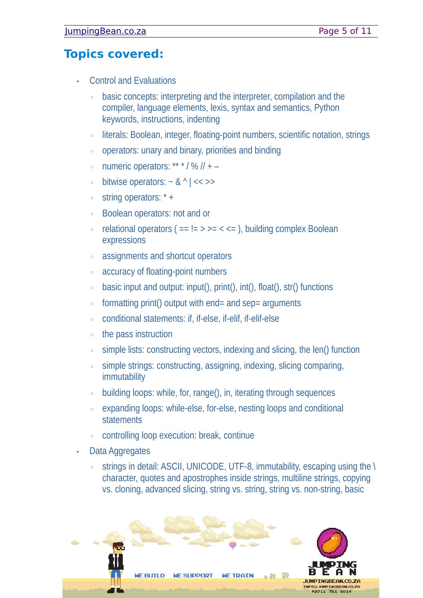# **Topics covered:**

- Control and Evaluations
	- basic concepts: interpreting and the interpreter, compilation and the compiler, language elements, lexis, syntax and semantics, Python keywords, instructions, indenting
	- literals: Boolean, integer, floating-point numbers, scientific notation, strings
	- operators: unary and binary, priorities and binding
	- numeric operators:  $***$  / % // + –
	- bitwise operators: ~ & ^ | << >>
	- string operators: \* +
	- Boolean operators: not and or
	- relational operators ( == != > >= < <= ), building complex Boolean expressions
	- assignments and shortcut operators
	- accuracy of floating-point numbers
	- basic input and output: input(), print(), int(), float(), str() functions
	- formatting print() output with end= and sep= arguments
	- conditional statements: if, if-else, if-elif, if-elif-else
	- the pass instruction
	- simple lists: constructing vectors, indexing and slicing, the len() function
	- simple strings: constructing, assigning, indexing, slicing comparing, immutability
	- building loops: while, for, range(), in, iterating through sequences
	- expanding loops: while-else, for-else, nesting loops and conditional statements
	- controlling loop execution: break, continue
- Data Aggregates
	- $\circ$  strings in detail: ASCII, UNICODE, UTF-8, immutability, escaping using the \ character, quotes and apostrophes inside strings, multiline strings, copying vs. cloning, advanced slicing, string vs. string, string vs. non-string, basic

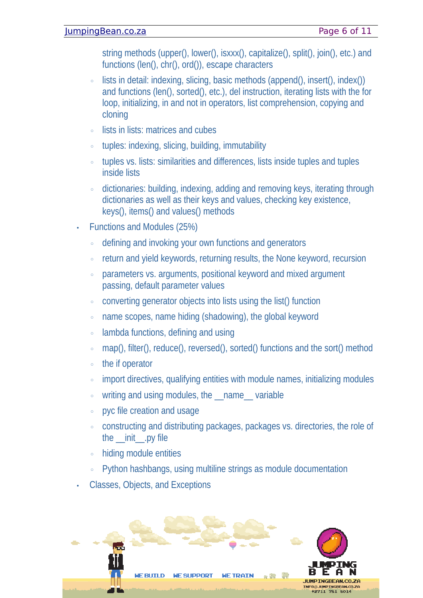string methods (upper(), lower(), isxxx(), capitalize(), split(), join(), etc.) and functions (len(), chr(), ord()), escape characters

- lists in detail: indexing, slicing, basic methods (append(), insert(), index()) and functions (len(), sorted(), etc.), del instruction, iterating lists with the for loop, initializing, in and not in operators, list comprehension, copying and cloning
- lists in lists: matrices and cubes
- tuples: indexing, slicing, building, immutability
- tuples vs. lists: similarities and differences, lists inside tuples and tuples inside lists
- dictionaries: building, indexing, adding and removing keys, iterating through dictionaries as well as their keys and values, checking key existence, keys(), items() and values() methods
- Functions and Modules (25%)
	- defining and invoking your own functions and generators
	- return and yield keywords, returning results, the None keyword, recursion
	- parameters vs. arguments, positional keyword and mixed argument passing, default parameter values
	- converting generator objects into lists using the list() function
	- name scopes, name hiding (shadowing), the global keyword
	- lambda functions, defining and using
	- map(), filter(), reduce(), reversed(), sorted() functions and the sort() method
	- the if operator
	- import directives, qualifying entities with module names, initializing modules
	- writing and using modules, the name variable
	- pyc file creation and usage
	- constructing and distributing packages, packages vs. directories, the role of the \_\_init\_\_\_.py file
	- hiding module entities
	- Python hashbangs, using multiline strings as module documentation
- Classes, Objects, and Exceptions

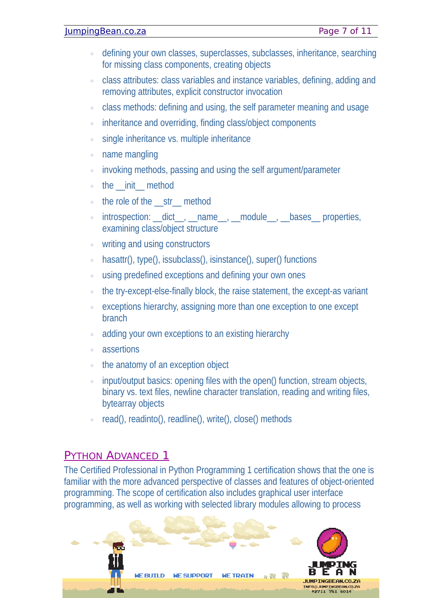#### [JumpingBean.co.za](http://Www.JumpingBean.co.za/) **Page 7 of 11**

- defining your own classes, superclasses, subclasses, inheritance, searching for missing class components, creating objects
- class attributes: class variables and instance variables, defining, adding and removing attributes, explicit constructor invocation
- class methods: defining and using, the self parameter meaning and usage
- inheritance and overriding, finding class/object components
- single inheritance vs. multiple inheritance
- name mangling
- invoking methods, passing and using the self argument/parameter
- the \_\_init\_\_ method
- the role of the \_\_str\_\_ method
- introspection: \_\_dict\_\_, \_\_name\_\_, \_\_module\_\_, \_\_bases\_\_ properties, examining class/object structure
- writing and using constructors
- hasattr(), type(), issubclass(), isinstance(), super() functions
- using predefined exceptions and defining your own ones
- the try-except-else-finally block, the raise statement, the except-as variant
- exceptions hierarchy, assigning more than one exception to one except branch
- adding your own exceptions to an existing hierarchy
- assertions
- the anatomy of an exception object
- input/output basics: opening files with the open() function, stream objects, binary vs. text files, newline character translation, reading and writing files, bytearray objects
- read(), readinto(), readline(), write(), close() methods

### PYTHON ADVANCED<sub>1</sub>

The Certified Professional in Python Programming 1 certification shows that the one is familiar with the more advanced perspective of classes and features of object-oriented programming. The scope of certification also includes graphical user interface programming, as well as working with selected library modules allowing to process

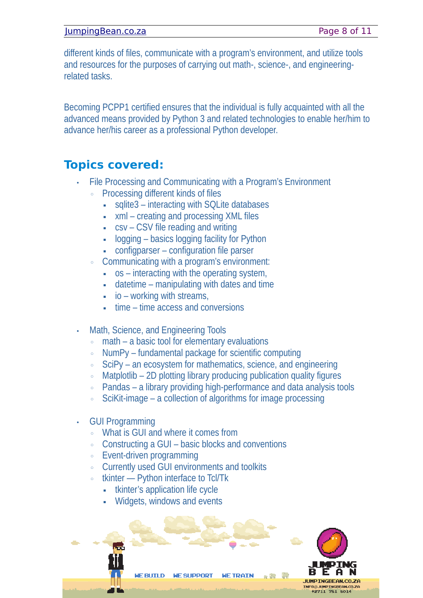#### [JumpingBean.co.za](http://Www.JumpingBean.co.za/) **Page 8 of 11**

different kinds of files, communicate with a program's environment, and utilize tools and resources for the purposes of carrying out math-, science-, and engineeringrelated tasks.

Becoming PCPP1 certified ensures that the individual is fully acquainted with all the advanced means provided by Python 3 and related technologies to enable her/him to advance her/his career as a professional Python developer.

# **Topics covered:**

- File Processing and Communicating with a Program's Environment
	- Processing different kinds of files
		- sqlite3 interacting with SQLite databases
		- xml creating and processing XML files
		- csv CSV file reading and writing
		- **•** logging basics logging facility for Python
		- configparser configuration file parser
	- Communicating with a program's environment:
		- $\cdot$  os interacting with the operating system,
		- $\blacksquare$  datetime manipulating with dates and time
		- $\blacksquare$  io working with streams,
		- $\overline{\phantom{a}}$  time time access and conversions
- Math, Science, and Engineering Tools
	- math a basic tool for elementary evaluations
	- NumPy fundamental package for scientific computing
	- SciPy an ecosystem for mathematics, science, and engineering
	- Matplotlib 2D plotting library producing publication quality figures
	- Pandas a library providing high-performance and data analysis tools
	- SciKit-image a collection of algorithms for image processing
- GUI Programming
	- What is GUI and where it comes from
	- Constructing a GUI basic blocks and conventions
	- Event-driven programming
	- Currently used GUI environments and toolkits
	- tkinter Python interface to Tcl/Tk
		- **tkinter's application life cycle**
		- **Widgets, windows and events**

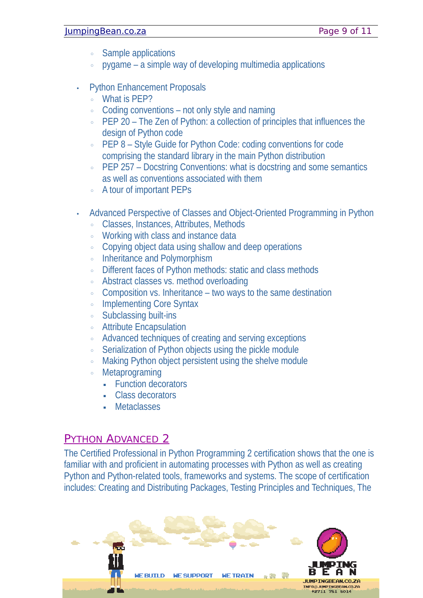### [JumpingBean.co.za](http://Www.JumpingBean.co.za/) **Page 9 of 11**

- Sample applications
- pygame a simple way of developing multimedia applications
- Python Enhancement Proposals
	- What is PEP?
	- Coding conventions not only style and naming
	- PEP 20 The Zen of Python: a collection of principles that influences the design of Python code
	- **PEP 8 Style Guide for Python Code: coding conventions for code** comprising the standard library in the main Python distribution
	- PEP 257 Docstring Conventions: what is docstring and some semantics as well as conventions associated with them
	- A tour of important PEPs
- Advanced Perspective of Classes and Object-Oriented Programming in Python
	- Classes, Instances, Attributes, Methods
	- Working with class and instance data
	- Copying object data using shallow and deep operations
	- Inheritance and Polymorphism
	- Different faces of Python methods: static and class methods
	- Abstract classes vs. method overloading
	- Composition vs. Inheritance two ways to the same destination
	- Implementing Core Syntax
	- Subclassing built-ins
	- Attribute Encapsulation
	- Advanced techniques of creating and serving exceptions
	- Serialization of Python objects using the pickle module
	- Making Python object persistent using the shelve module
	- **Metaprograming** 
		- **Eunction decorators**
		- Class decorators
		- **Metaclasses**

### PYTHON ADVANCED 2

The Certified Professional in Python Programming 2 certification shows that the one is familiar with and proficient in automating processes with Python as well as creating Python and Python-related tools, frameworks and systems. The scope of certification includes: Creating and Distributing Packages, Testing Principles and Techniques, The

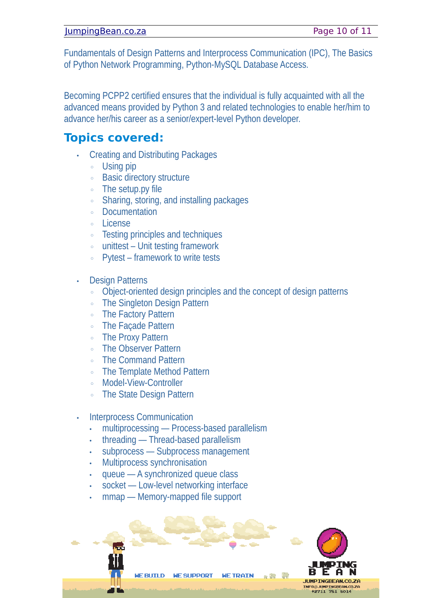#### [JumpingBean.co.za](http://Www.JumpingBean.co.za/) **Page 10 of 11**

Fundamentals of Design Patterns and Interprocess Communication (IPC), The Basics of Python Network Programming, Python-MySQL Database Access.

Becoming PCPP2 certified ensures that the individual is fully acquainted with all the advanced means provided by Python 3 and related technologies to enable her/him to advance her/his career as a senior/expert-level Python developer.

### **Topics covered:**

- Creating and Distributing Packages
	- Using pip
	- Basic directory structure
	- The setup.py file
	- Sharing, storing, and installing packages
	- Documentation
	- License
	- Testing principles and techniques
	- unittest Unit testing framework
	- Pytest framework to write tests
- **Design Patterns** 
	- Object-oriented design principles and the concept of design patterns
	- The Singleton Design Pattern
	- The Factory Pattern
	- The Façade Pattern
	- The Proxy Pattern
	- The Observer Pattern
	- The Command Pattern
	- The Template Method Pattern
	- Model-View-Controller
	- The State Design Pattern
- Interprocess Communication
	- multiprocessing Process-based parallelism
	- threading Thread-based parallelism
	- subprocess Subprocess management
	- Multiprocess synchronisation
	- queue A synchronized queue class
	- socket Low-level networking interface
	- mmap Memory-mapped file support



**+2711 781 8014** 

**MERUTUD WE SHIPPORT ART ST WE TRATN**